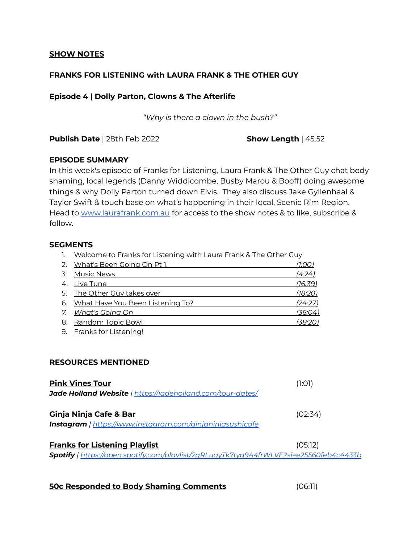## **SHOW NOTES**

# **FRANKS FOR LISTENING with LAURA FRANK & THE OTHER GUY**

## **Episode 4 | Dolly Parton, Clowns & The Afterlife**

*"Why is there a clown in the bush?"*

**Publish Date** | 28th Feb 2022 **Show Length** | 45.52

## **EPISODE SUMMARY**

In this week's episode of Franks for Listening, Laura Frank & The Other Guy chat body shaming, local legends (Danny Widdicombe, Busby Marou & Booff) doing awesome things & why Dolly Parton turned down Elvis. They also discuss Jake Gyllenhaal & Taylor Swift & touch base on what's happening in their local, Scenic Rim Region. Head to [www.laurafrank.com.au](http://www.laurafrank.com.au) for access to the show notes & to like, subscribe & follow.

## **SEGMENTS**

1. Welcome to Franks for Listening with Laura Frank & The Other Guy

|    | 2. What's Been Going On Pt 1.       | <u>(1:00)</u>  |
|----|-------------------------------------|----------------|
| 3. | <u>Music News</u>                   | (4:24)         |
|    | 4. Live Tune                        | (16.39)        |
|    | 5. The Other Guy takes over         | <u>(18:20)</u> |
|    | 6. What Have You Been Listening To? | (24:27)        |
|    | 7. What's Going On                  | <u>(36:04)</u> |
|    | 8. Random Topic Bowl                | (38:20)        |

9. Franks for Listening!

# **RESOURCES MENTIONED**

| <b>Pink Vines Tour</b>                                                                 | (1:O1)  |  |
|----------------------------------------------------------------------------------------|---------|--|
| Jade Holland Website   https://jadeholland.com/tour-dates/                             |         |  |
| <b>Ginja Ninja Cafe &amp; Bar</b>                                                      | (02:34) |  |
| <b>Instagram</b>   https://www.instagram.com/ginjaninjasushicafe                       |         |  |
| <b>Franks for Listening Playlist</b>                                                   | (05:12) |  |
| Spotify   https://open.spotify.com/playlist/2qRLuqyTk7tyq9A4frWLVE?si=e25560feb4c4433b |         |  |

### **50c Responded to Body Shaming Comments** (06:11)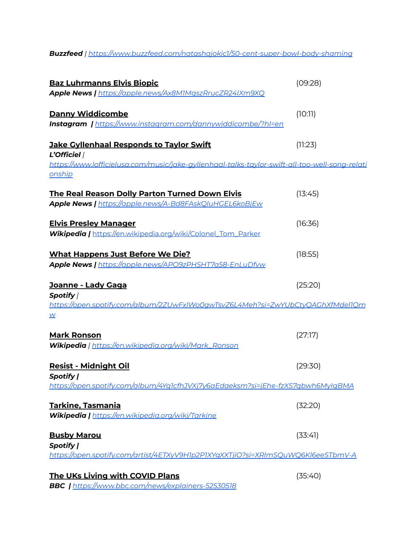*Buzzfeed | https:/ [www.buzzfeed.com/natashajokic1/50-cent-super-bowl-body-shaming](https://www.buzzfeed.com/natashajokic1/50-cent-super-bowl-body-shaming)*

| <b>Baz Luhrmanns Elvis Biopic</b><br>Apple News   https://apple.news/Ax8M1MqszRrucZR24IXm9XQ                                                                      | (09:28) |
|-------------------------------------------------------------------------------------------------------------------------------------------------------------------|---------|
| <b>Danny Widdicombe</b><br><b>Instagram  </b> https://www.instagram.com/dannywiddicombe/?hl=en                                                                    | (10:11) |
| <b>Jake Gyllenhaal Responds to Taylor Swift</b><br>L'Officiel  <br>https://www.lofficielusa.com/music/jake-gyllenhaal-talks-taylor-swift-all-too-well-song-relati | (11:23) |
| <u>onship</u><br><b>The Real Reason Dolly Parton Turned Down Elvis</b><br>Apple News   https://apple.news/A-Bd8FAskQluHGEL6koBjEw                                 | (13:45) |
| <b>Elvis Presley Manager</b><br>Wikipedia   https://en.wikipedia.org/wiki/Colonel_Tom_Parker                                                                      | (16:36) |
| <b>What Happens Just Before We Die?</b><br>Apple News   https://apple.news/APO9zPHSHT7a58-EnLuDfvw                                                                | (18:55) |
| <u>Joanne - Lady Gaga</u><br>Spotify /<br>https://open.spotify.com/album/2ZUwFxIWo0gwTsvZ6L4Meh?si=ZwYUbCtyOAGhXfMdel1Om<br>$\underline{\mathsf{W}}$              | (25:20) |
| <b>Mark Ronson</b><br>Wikipedia   https://en.wikipedia.org/wiki/Mark_Ronson                                                                                       | (27:17) |
| <b>Resist - Midnight Oil</b><br><b>Spotify</b>  <br>https://open.spotify.com/album/4Yq1cfhJVXj7y6aEdaeksm?si=jEhe-fzXS7qbwh6MyIgBMA                               | (29:30) |
| <u>Tarkine, Tasmania</u><br>Wikipedia   https://en.wikipedia.org/wiki/Tarkine                                                                                     | (32:20) |
| <b>Busby Marou</b><br>Spotify                                                                                                                                     | (33:41) |
| https://open.spotify.com/artist/4ETXyV9H1p2P1XYqXXTjiO?si=XRlmSQuWQ6Kl6eeSTbmV-A                                                                                  |         |
| The UKs Living with COVID Plans                                                                                                                                   | (35:40) |

*BBC | https:/ [www.bbc.com/news/explainers-52530518](https://www.bbc.com/news/explainers-52530518)*